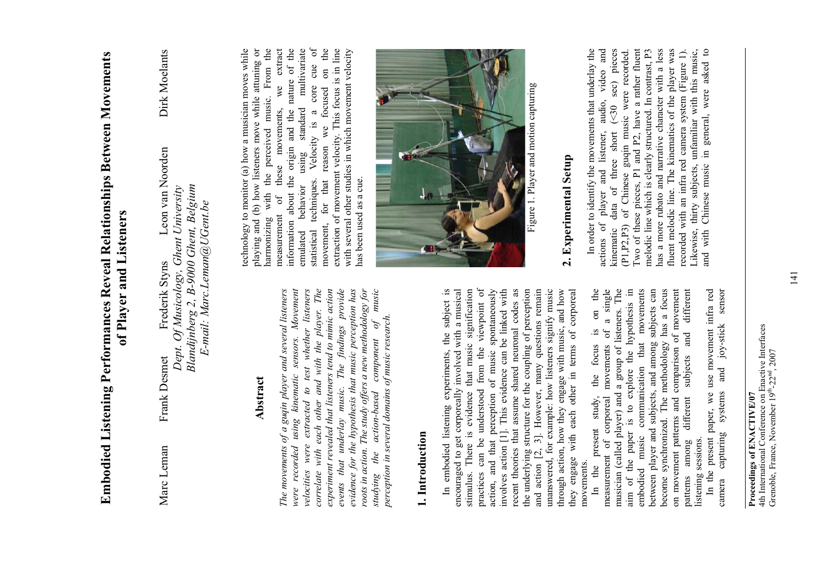|                            | of Player and Listeners                                                                                                        |                  |               |
|----------------------------|--------------------------------------------------------------------------------------------------------------------------------|------------------|---------------|
| Frank Desmet<br>Marc Leman | Dept. Of Musicology, Ghent University<br>Nandijnberg 2, B-9000 Ghent, Belgium<br>E-mail: Marc.Leman@UGent.be<br>Frederik Styns | Leon van Noorden | Dirk Moelants |

#### Abstract **Abstract**

*The movements of a guqin player and several listeners were recorded using kinematic sensors. Movement*  velocities were extracted to test whether listeners *velocities were extracted to test whether listeners correlate with each other and with the player. The experiment revealed that listeners tend to mimic action*  The findings provide *events that underlay music. The findings provide evidence for the hypothesis that music perception has roots in action. The study offers a new methodology for studying the action-based component of music*   $music$ The movements of a guqin player and several listeners were recorded using kinematic sensors. Movement correlate with each other and with the player. The evidence for the hypothesis that music perception has experiment revealed that listeners tend to mimic action roots in action. The study offers a new methodology for *perception in several domains of music research.*  perception in several domains of music research.  $\mathcal{P}$ action-based component events that underlay music. the studying

# **1. Introduction**  1. Introduction

In embodied listening experiments, the subject is In embodied listening experiments, the subject is encouraged to get corporeally involved with a musical encouraged to get corporeally involved with a musical stimulus. There is evidence that music signification stimulus. There is evidence that music signification practices can be understood from the viewpoint of action, and that perception of music spontaneously involves action [1]. This evidence can be linked with recent theories that assume shared neuronal codes as recent theories that assume shared neuronal codes as the underlying structure for the coupling of perception and action [2, 3]. However, many questions remain unanswered, for example: how listeners signify music through action, how they engage with music, and how they engage with each other in terms of corporeal practices can be understood from the viewpoint of action, and that perception of music spontaneously the underlying structure for the coupling of perception and action [2, 3]. However, many questions remain unanswered, for example: how listeners signify music through action, how they engage with music, and how they engage with each other in terms of corporeal involves action [1]. This evidence can be linked with movements. movements.

the In the present study, the focus is on the movements of a single measurement of corporeal movements of a single musician (called player) and a group of listeners. The musician (called player) and a group of listeners. The aim of the paper is to explore the hypothesis in communication that movements embodied music communication that movements between player and subjects, and among subjects can become synchronized. The methodology has a focus become synchronized. The methodology has a focus on movement patterns and comparison of movement on movement patterns and comparison of movement patterns among different subjects and different aim of the paper is to explore the hypothesis in between player and subjects, and among subjects can different  $\mathfrak{a}$  $\mathbf{g}$ . and focus patterns among different subjects present study, the measurement of corporeal music listening sessions. listening sessions. the embodied  $\Xi$ 

In the present paper, we use movement infra red sensor camera capturing systems and joy-stick sensor In the present paper, we use movement infra red and joy-stick capturing systems camera

4th International Conference on Enactive Interfaces 4th International Conference on Enactive Interfaces Grenoble, France, November 19<sup>th</sup>-22<sup>nd</sup>, 2007 Grenoble, France, November 19th-22nd, 2007 **Proceedings of ENACTIVE/07**  Proceedings of ENACTIVE/07

the the technology to monitor (a) how a musician moves while playing and (b) how listeners move while attuning or harmonizing with the perceived music. From the extract measurement of these movements, we extract of the information about the origin and the nature of the emulated behavior using standard multivariate  $\sigma$ statistical techniques. Velocity is a core cue of movement, for that reason we focused on the extraction of movement velocity. This focus is in line extraction of movement velocity. This focus is in line with several other studies in which movement velocity technology to monitor (a) how a musician moves while playing and (b) how listeners move while attuning or multivariate with several other studies in which movement velocity statistical techniques. Velocity is a core cue<br>movement, for that reason we focused on 1 harmonizing with the perceived music. From information about the origin and the nature we these movements, standard using has been used as a cue. has been used as a cue. behavior of measurement emulated



Figure 1. Player and motion capturing Figure 1. Player and motion capturing

# **2. Experimental Setup**  2. Experimental Setup

In order to identify the movements that underlay the actions of player and listener, audio, video and kinematic data of three short (<30 sec) pieces (P1,P2,P3) of Chinese guqin music were recorded. Two of these pieces, P1 and P2, have a rather fluent melodic line which is clearly structured. In contrast, P3 has a more rubato and narrative character with a less fluent melodic line. The kinematics of the player was recorded with an infra red camera system (Figure 1). Likewise, thirty subjects, unfamiliar with this music, and with Chinese music in general, were asked to (P1, P2, P3) of Chinese guqin music were recorded. Two of these pieces, P1 and P2, have a rather fluent melodic line which is clearly structured. In contrast, P3 has a more rubato and narrative character with a less In order to identify the movements that underlay the and listener, audio, video and pieces fluent melodic line. The kinematics of the player was recorded with an infra red camera system (Figure 1). Likewise, thirty subjects, unfamiliar with this music, and with Chinese music in general, were asked to sec)  $($  30 short of three actions of player data kinematic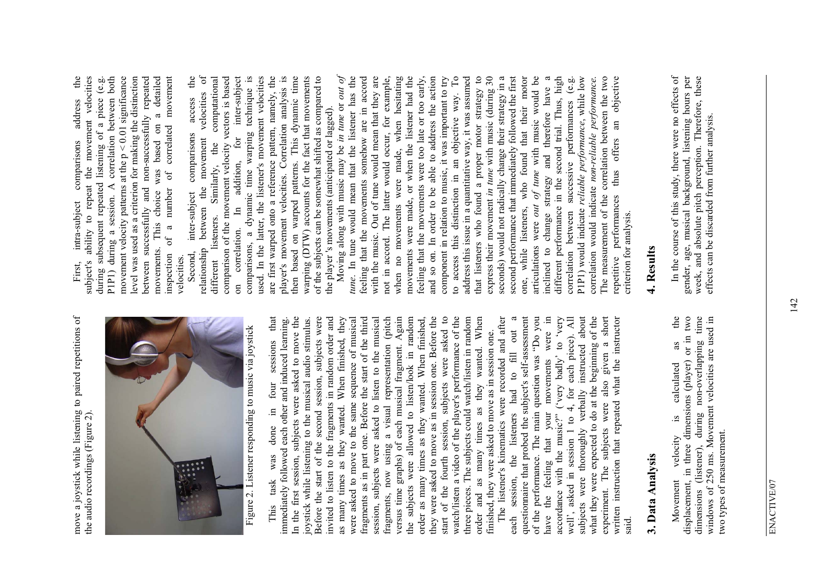move a joystick while listening to paired repetitions of to paired repetitions of move a joystick while listening the audio recordings (Figure 2). the audio recordings (Figure 2).



Figure 2. Listener responding to music via joystick Figure 2. Listener responding to music via joystick

that This task was done in four sessions that immediately followed each other and induced learning. In the first session, subjects were asked to move the joystick while listening to the musical audio stimulus. Before the start of the second session, subjects were invited to listen to the fragments in random order and as many times as they wanted. When finished, they were asked to move to the same sequence of musical fragments as in part one. Before the start of the third session, subjects were asked to listen to the musical fragments, now using a visual representation (pitch versus time graphs) of each musical fragment. Again the subjects were allowed to listen/look in random order as many times as they wanted. When finished, they were asked to move as in session one. Before the start of the fourth session, subjects were asked to watch/listen a video of the player's performance of the three pieces. The subjects could watch/listen in random When order and as many times as they wanted. When In the first session, subjects were asked to move the second session, subjects were versus time graphs) of each musical fragment. Again they were asked to move as in session one. Before the start of the fourth session, subjects were asked to<br>watch/listen a video of the player's performance of the three pieces. The subjects could watch/listen in random immediately followed each other and induced learning. joystick while listening to the musical audio stimulus.<br>Before the start of the second session, subjects were invited to listen to the fragments in random order and When finished, they were asked to move to the same sequence of musical fragments as in part one. Before the start of the third session, subjects were asked to listen to the musical a visual representation (pitch the subjects were allowed to listen/look in random order as many times as they wanted. When finished, finished, they were asked to move as in session one. finished, they were asked to move as in session one. sessions wanted. four order and as many times as they as many times as they wanted.  $\Xi$ done fragments, now using was  $\mbox{task}$ This

The listener's kinematics were recorded and after each session, the listeners had to fill out a questionnaire that probed the subject's self-assessment of the performance. The main question was "Do you have the feeling that your movements were in  $\Xi$ accordance with the music?" ('very badly' to 'very well', asked in session 1 to 4, for each piece). All subjects were thoroughly verbally instructed about what they were expected to do at the beginning of the experiment. The subjects were also given a short written instruction that repeated what the instructor The listener's kinematics were recorded and after  $\mathfrak{a}$ questionnaire that probed the subject's self-assessment of the performance. The main question was "Do you accordance with the music?" ('very badly' to 'very well', asked in session 1 to 4, for each piece). All subjects were thoroughly verbally instructed about what they were expected to do at the beginning of the experiment. The subjects were also given a short<br>written instruction that repeated what the instructor fill out were movements  $\mathfrak{g}$ listeners had the feeling that your the session, each have said.

# **3. Data Analysis**  3. Data Analysis

Movement velocity is calculated as the displacement, in three dimensions (player) or in two dimensions (listener), during non-overlapping time windows of 250 ms. Movement velocities are used in the displacement, in three dimensions (player) or in two<br>dimensions (listener), during non-overlapping time windows of 250 ms. Movement velocities are used in as calculated  $\mathbf{a}$ . two types of measurement. two types of measurement. velocity Movement

First, intra-subject comparisons address the subject's ability to repeat the movement velocities during subsequent repeated listening of a piece (e.g. P1P1) during a session. A correlation between both movement velocity patterns at the  $p < 0.01$  significance level was used as a criterion for making the distinction between successfully and non-successfully repeated movements. This choice was based on a detailed inspection of a number of correlated movement P1P1) during a session. A correlation between both a detailed correlated movement ability to repeat the movement velocities during subsequent repeated listening of a piece (e.g. movement velocity patterns at the  $p < 0.01$  significance level was used as a criterion for making the distinction between successfully and non-successfully repeated address movements. This choice was based on comparisons number of intra-subject  $of a$ inspection velocities. velocities. subject's First,

Second, inter-subject comparisons access the relationship between the movement velocities of different listeners. Similarly, the computational comparison of the movement velocity vectors is based on correlation. In addition, for inter-subject comparisons, a dynamic time warping technique is used. In the latter, the listener's movement velocities are first warped onto a reference pattern, namely, the player's movement velocities. Correlation analysis is then based on warped patterns. This dynamic time warping (DTW) accounts for the fact that movements of the subjects can be somewhat shifted as compared to the velocities of comparison of the movement velocity vectors is based inter-subject comparisons, a dynamic time warping technique is used. In the latter, the listener's movement velocities player's movement velocities. Correlation analysis is then based on warped patterns. This dynamic time warping (DTW) accounts for the fact that movements of the subjects can be somewhat shifted as compared to computational are first warped onto a reference pattern, namely, the access the player 's movements (anticipated or lagged). the player's movements (anticipated or lagged). comparisons for movement Similarly, the addition, the inter-subject between  $\mathbb{H}$ listeners. correlation. relationship Second, different  $\overline{a}$ 

Moving along with music may be *in tune* or *out of tune*. In tune would mean that the listener has the feeling that the movements somehow are in accord with the music. Out of tune would mean that they are not in accord. The latter would occur, for example, when no movements were made, when hesitating movements were made, or when the listener had the feeling that the movements were too late or too early, and so on. In order to be able to address the action component in relation to music, it was important to try to access this distinction in an objective way. To address this issue in a quantitative way, it was assumed that listeners who found a proper motor strategy to express their movement *in tune* with music (during 30 seconds) would not radically change their strategy in a second performance that immediately followed the first one, while listeners, who found that their motor articulations were *out of tune* with music would be inclined to change strategy and therefore have a different performance in the second trial. Thus, high correlation between successive performances (e.g. P1P1) would indicate *reliable performance*, while low The measurement of the correlation between the two repetitive performances thus offers an objective Moving along with music may be in tune or out of feeling that the movements somehow are in accord when no movements were made, when hesitating and so on. In order to be able to address the action to access this distinction in an objective way. To address this issue in a quantitative way, it was assumed  $\mathfrak{a}$ express their movement in tune with music (during 30 second performance that immediately followed the first one, while listeners, who found that their motor inclined to change strategy and therefore have a different performance in the second trial. Thus, high <u>હ.છ</u> P1P1) would indicate reliable performance, while low The measurement of the correlation between the two tune. In tune would mean that the listener has the with the music. Out of tune would mean that they are not in accord. The latter would occur, for example, movements were made, or when the listener had the feeling that the movements were too late or too early, component in relation to music, it was important to try seconds) would not radically change their strategy in a articulations were *out of tune* with music would be correlation would indicate non-reliable performance. objective correlation would indicate *non-reliable performance*. that listeners who found a proper motor strategy correlation between successive performances  $\overline{a}$ offers thus performances criterion for analysis. criterion for analysis. repetitive

#### **4. Results**  4. Results

In the course of this study, there were no effects of gender, age, musical background, listening hours per week, and absolute pitch perception. Therefore, these In the course of this study, there were no effects of gender, age, musical background, listening hours per week, and absolute pitch perception. Therefore, these<br>effects can be discarded from further analysis. effects can be discarded from further analysis.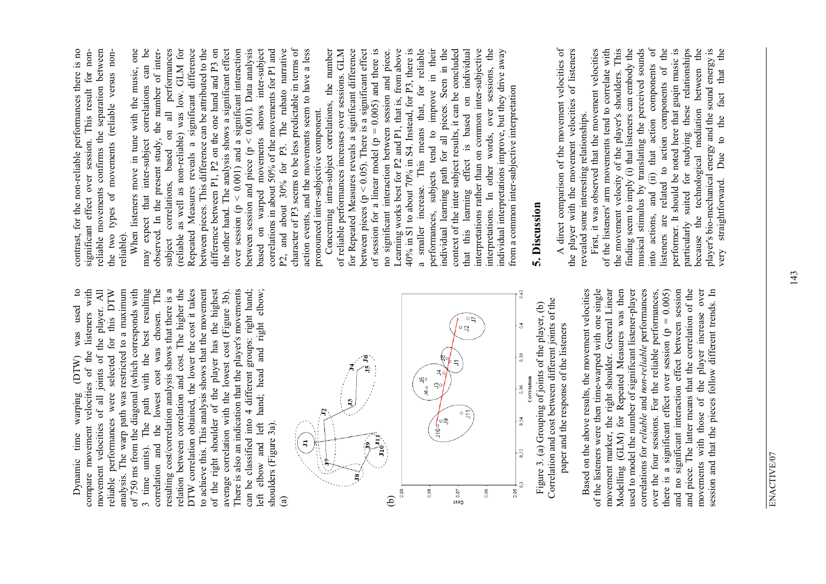The Dynamic time warping (DTW) was used to compare movement velocities of the listeners with movement velocities of all joints of the player. All Dynamic time warping (DTW) was used to compare movement velocities of the listeners with movement velocities of all joints of the player. All reliable performances were selected for this DTW analysis. The warp path was restricted to a maximum of 750 ms from the diagonal (which corresponds with 3 time units). The path with the best resulting correlation and the lowest cost was chosen. The resulting cost/correlation analysis shows that there is a resulting cost/correlation analysis shows that there is a relation between correlation and cost. The higher the relation between correlation and cost. The higher the DTW correlation obtained, the lower the cost it takes DTW correlation obtained, the lower the cost it takes to achieve this. This analysis shows that the movement to achieve this. This analysis shows that the movement the right shoulder of the player has the highest of the right shoulder of the player has the highest average correlation with the lowest cost (Figure 3b).<br>There is also an indication that the player's movements average correlation with the lowest cost (Figure 3b). There is also an indication that the player's movements can be classified into 4 different groups: right hand; and left hand; head and right elbow; left elbow and left hand; head and right elbow; movement velocities of all joints of the player. All analysis. The warp path was restricted to a maximum for this DTW of 750 ms from the diagonal (which corresponds with The path with the best resulting can be classified into 4 different groups: right hand; lowest cost was chosen.  $(DTW)$ reliable performances were selected shoulders (Figure 3a). shoulders (Figure 3a). correlation and the time units). elbow  $left$  $\sigma$ f



Based on the above results, the movement velocities of the listeners were then time-warped with one single movement marker, the right shoulder. General Linear movement marker, the right shoulder. General Linear Modelling (GLM) for Repeated Measures was then Modelling (GLM) for Repeated Measures was then used to model the number of significant listener-player used to model the number of significant listener-player correlations for reliable and non-reliable performances correlations for *reliable* and *non-reliable* performances over the four sessions. For the reliable performances, there is a significant effect over session ( $p = 0.005$ ) and no significant interaction effect between session and piece. The latter means that the correlation of the movements with those of the player increase over session and that the pieces follow different trends. In Based on the above results, the movement velocities of the listeners were then time-warped with one single and no significant interaction effect between session and piece. The latter means that the correlation of the movements with those of the player increase over over the four sessions. For the reliable performances,  $= 0.005$ session and that the pieces follow different trends. In there is a significant effect over session (p

contrast, for the non-reliable performances there is no reliable movements confirms the separation between contrast, for the non-reliable performances there is no reliable movements confirms the separation between This result for nonsignificant effect over session. This result for nonthe two types of movements (reliable versus nonthe two types of movements (reliable versus nonsignificant effect over session. reliable).

When listeners move in tune with the music, one  $6<sup>e</sup>$ may expect that inter-subject correlations can be subject correlations, based on all performances (reliable as well as non-reliable) was low. GLM for (reliable as well as non-reliable) was low. GLM for Repeated Measures reveals a significant difference Repeated Measures reveals a significant difference between pieces. This difference can be attributed to the between pieces. This difference can be attributed to the difference between P1, P2 on the one hand and P3 on difference between P1, P2 on the one hand and P3 on the other hand. The analysis shows a significant effect over session  $(p < 0.001)$  and a significant interaction between session and piece ( $p < 0.001$ ). Data analysis based on warped movements shows inter-subject correlations in about 50% of the movements for P1 and P2, and about 30% for P3. The rubato narrative character of P3 seems to be less predictable in terms of character of P3 seems to be less predictable in terms of action events, and the movements seem to have a less all performances the other hand. The analysis shows a significant effect over session ( $p < 0.001$ ) and a significant interaction inter-subject correlations in about 50% of the movements for P1 and P2, and about 30% for P3. The rubato narrative action events, and the movements seem to have a less When listeners move in tune with the music, one observed. In the present study, the number of interobserved. In the present study, the number of inter-0.001). Data analysis may expect that inter-subject correlations can shows pronounced inter-subjective component. pronounced inter-subjective component. correlations, based on based on warped movements between session and piece ( $p <$ subject

Concerning intra-subject correlations, the number of reliable performances increases over sessions. GLM for Repeated Measures reveals a significant difference between pieces ( $p < 0.05$ ). There is a significant effect of session for a linear model ( $p = 0.005$ ) and there is no significant interaction between session and piece. Learning works best for P2 and P1, that is, from above 40% in S1 to about 70% in S4. Instead, for P3, there is a smaller increase. This means that, for reliable performances, subjects tend to improve in their their Seen in the individual learning path for all pieces. Seen in the context of the inter subject results, it can be concluded that this learning effect is based on individual interpretations rather than on common inter-subjective interpretations rather than on common inter-subjective interpretations. In other words, over sessions, the individual interpretations improve, but they drive away Concerning intra-subject correlations, the number of reliable performances increases over sessions. GLM for Repeated Measures reveals a significant difference between pieces ( $p < 0.05$ ). There is a significant effect Learning works best for P2 and P1, that is, from above 40% in S1 to about 70% in S4. Instead, for P3, there is reliable context of the inter subject results, it can be concluded individual words, over sessions, the of session for a linear model ( $p = 0.005$ ) and there is no significant interaction between session and piece. individual interpretations improve, but they drive away 크. This means that, for from a common inter-subjective interpretation from a common inter-subjective interpretation improve  $\overline{a}$ individual learning path for all pieces. learning effect is based subjects tend to interpretations. In other a smaller increase. performances, that this

### **5. Discussion**  5. Discussion

A direct comparison of the movement velocities of the player with the movement velocities of listeners A direct comparison of the movement velocities of the player with the movement velocities of listeners revealed some interesting relationships. revealed some interesting relationships.

First, it was observed that the movement velocities of the listeners' arm movements tend to correlate with This the movement velocity of the player's shoulders. This finding seem to imply (i) that listeners can embody the musical stimulus by translating the perceived sounds  $\sigma$ into actions, and (ii) that action components of related to action components of the listeners are related to action components of the performer. It should be noted here that guqin music is particularly suited for studying these relationships because the technological mediation between the because the technological mediation between the player's bio-mechanical energy and the sound energy is<br>very straightforward. Due to the fact that the player's bio-mechanical energy and the sound energy is very straightforward. Due to the fact that the First, it was observed that the movement velocities of the listeners' arm movements tend to correlate with finding seem to imply (i) that listeners can embody the performer. It should be noted here that guqin music is particularly suited for studying these relationships musical stimulus by translating the perceived sounds (ii) that action components the movement velocity of the player's shoulders. into actions, and listeners are